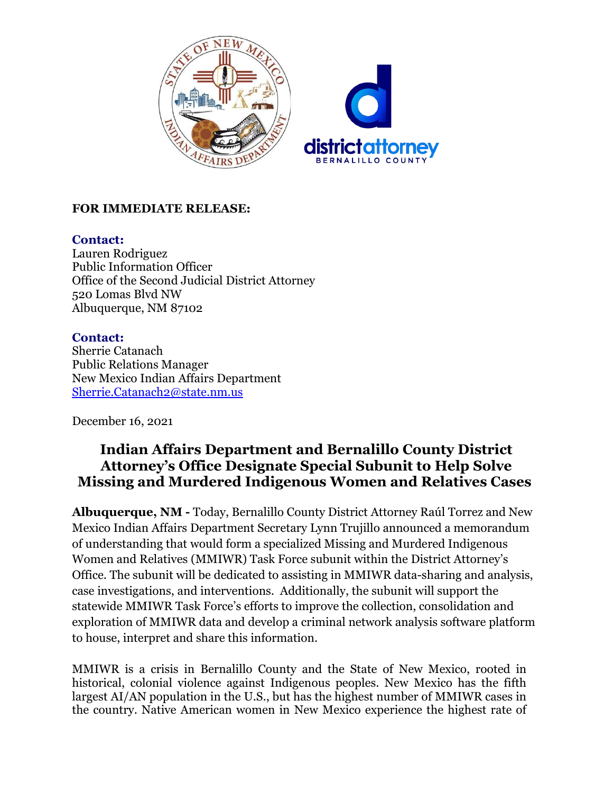

## **FOR IMMEDIATE RELEASE:**

## **Contact:**

Lauren Rodriguez Public Information Officer Office of the Second Judicial District Attorney 520 Lomas Blvd NW Albuquerque, NM 87102

## **Contact:**

Sherrie Catanach Public Relations Manager New Mexico Indian Affairs Department [Sherrie.Catanach2@state.nm.us](mailto:Sherrie.Catanach2@state.nm.us)

December 16, 2021

## **Indian Affairs Department and Bernalillo County District Attorney's Office Designate Special Subunit to Help Solve Missing and Murdered Indigenous Women and Relatives Cases**

**Albuquerque, NM -** Today, Bernalillo County District Attorney Raúl Torrez and New Mexico Indian Affairs Department Secretary Lynn Trujillo announced a memorandum of understanding that would form a specialized Missing and Murdered Indigenous Women and Relatives (MMIWR) Task Force subunit within the District Attorney's Office. The subunit will be dedicated to assisting in MMIWR data-sharing and analysis, case investigations, and interventions. Additionally, the subunit will support the statewide MMIWR Task Force's efforts to improve the collection, consolidation and exploration of MMIWR data and develop a criminal network analysis software platform to house, interpret and share this information.

MMIWR is a crisis in Bernalillo County and the State of New Mexico, rooted in historical, colonial violence against Indigenous peoples. New Mexico has the fifth largest AI/AN population in the U.S., but has the highest number of MMIWR cases in the country. Native American women in New Mexico experience the highest rate of